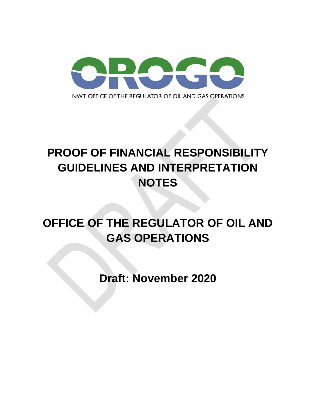

# **PROOF OF FINANCIAL RESPONSIBILITY GUIDELINES AND INTERPRETATION NOTES**

# **OFFICE OF THE REGULATOR OF OIL AND GAS OPERATIONS**

**Draft: November 2020**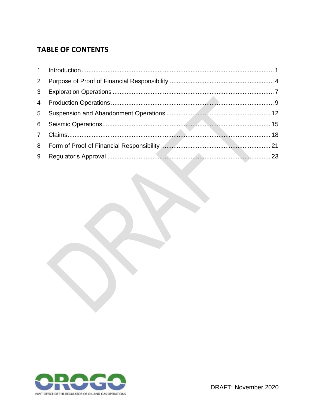# **TABLE OF CONTENTS**

| $\overline{2}$ |  |
|----------------|--|
| 3 <sup>7</sup> |  |
|                |  |
| $5 -$          |  |
|                |  |
|                |  |
|                |  |
| 9              |  |

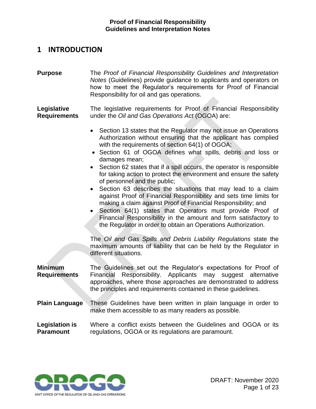# <span id="page-2-0"></span>**1 INTRODUCTION**

**Purpose** The *Proof of Financial Responsibility Guidelines and Interpretation Notes* (Guidelines) provide guidance to applicants and operators on how to meet the Regulator's requirements for Proof of Financial Responsibility for oil and gas operations.

**Legislative Requirements**  The legislative requirements for Proof of Financial Responsibility under the *Oil and Gas Operations Act* (OGOA) are:

- Section 13 states that the Regulator may not issue an Operations Authorization without ensuring that the applicant has complied with the requirements of section 64(1) of OGOA;
- Section 61 of OGOA defines what spills, debris and loss or damages mean;
- Section 62 states that if a spill occurs, the operator is responsible for taking action to protect the environment and ensure the safety of personnel and the public;
- Section 63 describes the situations that may lead to a claim against Proof of Financial Responsibility and sets time limits for making a claim against Proof of Financial Responsibility; and
- Section 64(1) states that Operators must provide Proof of Financial Responsibility in the amount and form satisfactory to the Regulator in order to obtain an Operations Authorization.

The *Oil and Gas Spills and Debris Liability Regulations* state the maximum amounts of liability that can be held by the Regulator in different situations.

**Minimum Requirements** The Guidelines set out the Regulator's expectations for Proof of Financial Responsibility. Applicants may suggest alternative approaches, where those approaches are demonstrated to address the principles and requirements contained in these guidelines.

**Plain Language** These Guidelines have been written in plain language in order to make them accessible to as many readers as possible.

**Legislation is Paramount** Where a conflict exists between the Guidelines and OGOA or its regulations, OGOA or its regulations are paramount.

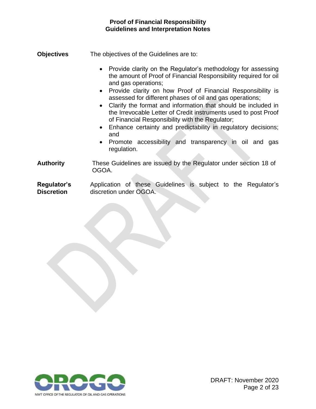- **Objectives** The objectives of the Guidelines are to:
	- Provide clarity on the Regulator's methodology for assessing the amount of Proof of Financial Responsibility required for oil and gas operations;
	- Provide clarity on how Proof of Financial Responsibility is assessed for different phases of oil and gas operations;
	- Clarify the format and information that should be included in the Irrevocable Letter of Credit instruments used to post Proof of Financial Responsibility with the Regulator;
	- Enhance certainty and predictability in regulatory decisions; and
	- Promote accessibility and transparency in oil and gas regulation.

**Authority** These Guidelines are issued by the Regulator under section 18 of OGOA.

**Regulator's Discretion** Application of these Guidelines is subject to the Regulator's discretion under OGOA.

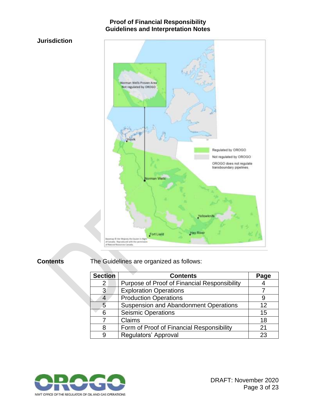### **Jurisdiction**



**Contents** The Guidelines are organized as follows:

| <b>Section</b>            | <b>Contents</b>                              | Page |
|---------------------------|----------------------------------------------|------|
| $\mathbf{2}^{\mathsf{I}}$ | Purpose of Proof of Financial Responsibility |      |
| 3                         | <b>Exploration Operations</b>                |      |
| 4                         | <b>Production Operations</b>                 |      |
| 5                         | <b>Suspension and Abandonment Operations</b> | 12   |
| 6                         | <b>Seismic Operations</b>                    | 15   |
|                           | Claims                                       | 18   |
| 8                         | Form of Proof of Financial Responsibility    | 21   |
| 9                         | Regulators' Approval                         | 23   |

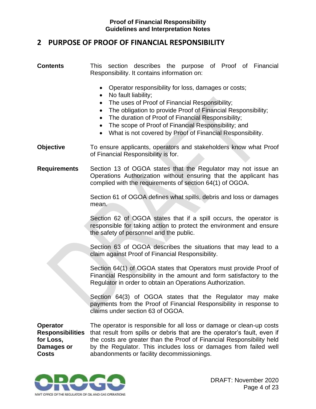# <span id="page-5-0"></span>**2 PURPOSE OF PROOF OF FINANCIAL RESPONSIBILITY**

#### **Contents** This section describes the purpose of Proof of Financial Responsibility. It contains information on:

- Operator responsibility for loss, damages or costs;
- No fault liability;
- The uses of Proof of Financial Responsibility;
- The obligation to provide Proof of Financial Responsibility;
- The duration of Proof of Financial Responsibility;
- The scope of Proof of Financial Responsibility; and
- What is not covered by Proof of Financial Responsibility.
- **Objective** To ensure applicants, operators and stakeholders know what Proof of Financial Responsibility is for.
- **Requirements** Section 13 of OGOA states that the Regulator may not issue an Operations Authorization without ensuring that the applicant has complied with the requirements of section 64(1) of OGOA.

Section 61 of OGOA defines what spills, debris and loss or damages mean.

Section 62 of OGOA states that if a spill occurs, the operator is responsible for taking action to protect the environment and ensure the safety of personnel and the public.

Section 63 of OGOA describes the situations that may lead to a claim against Proof of Financial Responsibility.

Section 64(1) of OGOA states that Operators must provide Proof of Financial Responsibility in the amount and form satisfactory to the Regulator in order to obtain an Operations Authorization.

Section 64(3) of OGOA states that the Regulator may make payments from the Proof of Financial Responsibility in response to claims under section 63 of OGOA.

**Operator for Loss, Damages or Costs**

Responsibilities that result from spills or debris that are the operator's fault, even if The operator is responsible for all loss or damage or clean-up costs the costs are greater than the Proof of Financial Responsibility held by the Regulator. This includes loss or damages from failed well abandonments or facility decommissionings.

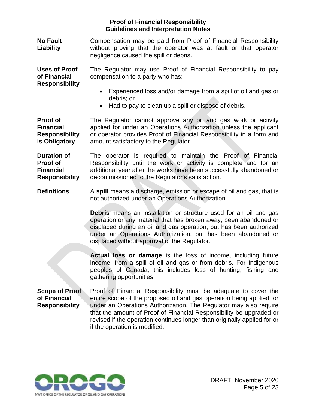**No Fault Liability** Compensation may be paid from Proof of Financial Responsibility without proving that the operator was at fault or that operator negligence caused the spill or debris.

**Uses of Proof of Financial Responsibility** The Regulator may use Proof of Financial Responsibility to pay compensation to a party who has:

- Experienced loss and/or damage from a spill of oil and gas or debris; or
- Had to pay to clean up a spill or dispose of debris.

**Proof of Financial Responsibility is Obligatory** The Regulator cannot approve any oil and gas work or activity applied for under an Operations Authorization unless the applicant or operator provides Proof of Financial Responsibility in a form and amount satisfactory to the Regulator.

**Duration of Proof of Financial Responsibility** The operator is required to maintain the Proof of Financial Responsibility until the work or activity is complete and for an additional year after the works have been successfully abandoned or decommissioned to the Regulator's satisfaction.

**Definitions** A spill means a discharge, emission or escape of oil and gas, that is not authorized under an Operations Authorization.

> **Debris** means an installation or structure used for an oil and gas operation or any material that has broken away, been abandoned or displaced during an oil and gas operation, but has been authorized under an Operations Authorization, but has been abandoned or displaced without approval of the Regulator.

> **Actual loss or damage** is the loss of income, including future income, from a spill of oil and gas or from debris. For Indigenous peoples of Canada, this includes loss of hunting, fishing and gathering opportunities.

**Scope of Proof of Financial Responsibility** Proof of Financial Responsibility must be adequate to cover the entire scope of the proposed oil and gas operation being applied for under an Operations Authorization. The Regulator may also require that the amount of Proof of Financial Responsibility be upgraded or revised if the operation continues longer than originally applied for or if the operation is modified.

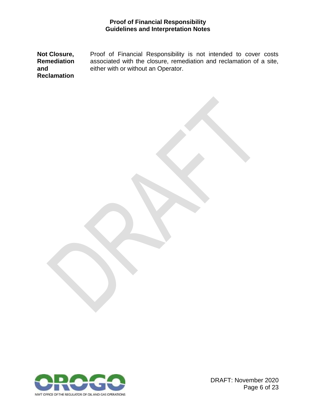<span id="page-7-0"></span>**Not Closure, Remediation and Reclamation** Proof of Financial Responsibility is not intended to cover costs associated with the closure, remediation and reclamation of a site, either with or without an Operator.



DRAFT: November 2020 Page 6 of 23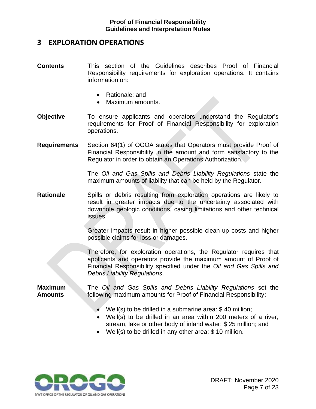# **3 EXPLORATION OPERATIONS**

- **Contents** This section of the Guidelines describes Proof of Financial Responsibility requirements for exploration operations. It contains information on:
	- Rationale; and
	- Maximum amounts.
- **Objective** To ensure applicants and operators understand the Regulator's requirements for Proof of Financial Responsibility for exploration operations.
- **Requirements** Section 64(1) of OGOA states that Operators must provide Proof of Financial Responsibility in the amount and form satisfactory to the Regulator in order to obtain an Operations Authorization.

The *Oil and Gas Spills and Debris Liability Regulations* state the maximum amounts of liability that can be held by the Regulator.

**Rationale** Spills or debris resulting from exploration operations are likely to result in greater impacts due to the uncertainty associated with downhole geologic conditions, casing limitations and other technical issues.

> Greater impacts result in higher possible clean-up costs and higher possible claims for loss or damages.

> Therefore, for exploration operations, the Regulator requires that applicants and operators provide the maximum amount of Proof of Financial Responsibility specified under the *Oil and Gas Spills and Debris Liability Regulations*.

**Maximum Amounts** 

The *Oil and Gas Spills and Debris Liability Regulations* set the following maximum amounts for Proof of Financial Responsibility:

- Well(s) to be drilled in a submarine area: \$ 40 million;
- Well(s) to be drilled in an area within 200 meters of a river, stream, lake or other body of inland water: \$ 25 million; and
- Well(s) to be drilled in any other area: \$10 million.

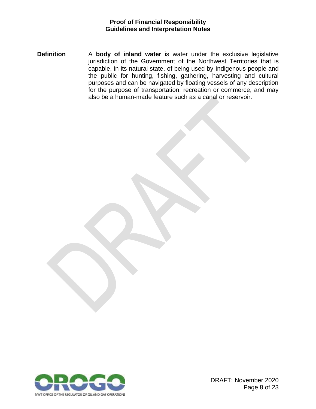<span id="page-9-0"></span>**Definition** A **body of inland water** is water under the exclusive legislative jurisdiction of the Government of the Northwest Territories that is capable, in its natural state, of being used by Indigenous people and the public for hunting, fishing, gathering, harvesting and cultural purposes and can be navigated by floating vessels of any description for the purpose of transportation, recreation or commerce, and may also be a human-made feature such as a canal or reservoir.



DRAFT: November 2020 Page 8 of 23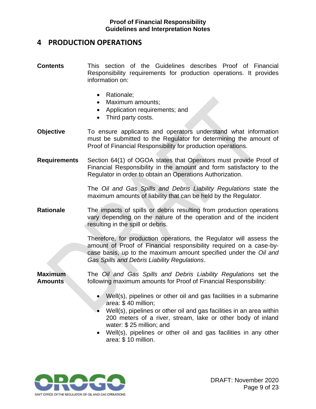# **4 PRODUCTION OPERATIONS**

- **Contents** This section of the Guidelines describes Proof of Financial Responsibility requirements for production operations. It provides information on:
	- Rationale;
	- Maximum amounts;
	- Application requirements; and
	- Third party costs.
- **Objective** To ensure applicants and operators understand what information must be submitted to the Regulator for determining the amount of Proof of Financial Responsibility for production operations.
- **Requirements** Section 64(1) of OGOA states that Operators must provide Proof of Financial Responsibility in the amount and form satisfactory to the Regulator in order to obtain an Operations Authorization.

The *Oil and Gas Spills and Debris Liability Regulations* state the maximum amounts of liability that can be held by the Regulator.

**Rationale** The impacts of spills or debris resulting from production operations vary depending on the nature of the operation and of the incident resulting in the spill or debris.

> Therefore, for production operations, the Regulator will assess the amount of Proof of Financial responsibility required on a case-bycase basis, up to the maximum amount specified under the *Oil and Gas Spills and Debris Liability Regulations*.

**Maximum Amounts**  The *Oil and Gas Spills and Debris Liability Regulations* set the following maximum amounts for Proof of Financial Responsibility:

- Well(s), pipelines or other oil and gas facilities in a submarine area: \$ 40 million;
- Well(s), pipelines or other oil and gas facilities in an area within 200 meters of a river, stream, lake or other body of inland water: \$ 25 million; and
- Well(s), pipelines or other oil and gas facilities in any other area: \$ 10 million.

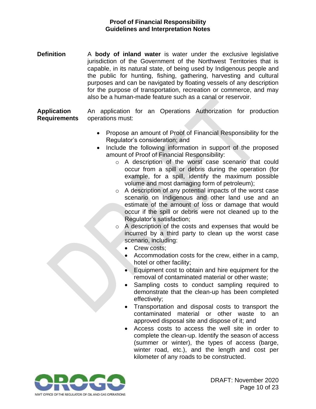**Definition** A **body of inland water** is water under the exclusive legislative jurisdiction of the Government of the Northwest Territories that is capable, in its natural state, of being used by Indigenous people and the public for hunting, fishing, gathering, harvesting and cultural purposes and can be navigated by floating vessels of any description for the purpose of transportation, recreation or commerce, and may also be a human-made feature such as a canal or reservoir.

**Application Requirements** An application for an Operations Authorization for production operations must:

- Propose an amount of Proof of Financial Responsibility for the Regulator's consideration; and
- Include the following information in support of the proposed amount of Proof of Financial Responsibility:
	- o A description of the worst case scenario that could occur from a spill or debris during the operation (for example, for a spill, identify the maximum possible volume and most damaging form of petroleum);
	- o A description of any potential impacts of the worst case scenario on Indigenous and other land use and an estimate of the amount of loss or damage that would occur if the spill or debris were not cleaned up to the Regulator's satisfaction;
	- o A description of the costs and expenses that would be incurred by a third party to clean up the worst case scenario, including:
		- Crew costs;
		- Accommodation costs for the crew, either in a camp, hotel or other facility;
		- Equipment cost to obtain and hire equipment for the removal of contaminated material or other waste;
		- Sampling costs to conduct sampling required to demonstrate that the clean-up has been completed effectively;
		- Transportation and disposal costs to transport the contaminated material or other waste to an approved disposal site and dispose of it; and
		- Access costs to access the well site in order to complete the clean-up. Identify the season of access (summer or winter), the types of access (barge, winter road, etc.), and the length and cost per kilometer of any roads to be constructed.

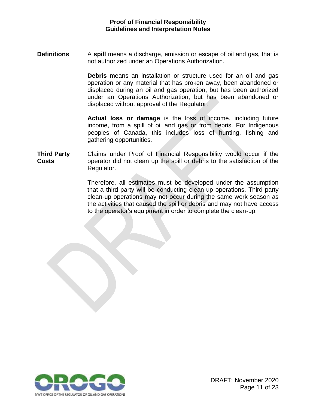**Definitions** A **spill** means a discharge, emission or escape of oil and gas, that is not authorized under an Operations Authorization.

> **Debris** means an installation or structure used for an oil and gas operation or any material that has broken away, been abandoned or displaced during an oil and gas operation, but has been authorized under an Operations Authorization, but has been abandoned or displaced without approval of the Regulator.

> **Actual loss or damage** is the loss of income, including future income, from a spill of oil and gas or from debris. For Indigenous peoples of Canada, this includes loss of hunting, fishing and gathering opportunities.

**Third Party Costs** Claims under Proof of Financial Responsibility would occur if the operator did not clean up the spill or debris to the satisfaction of the Regulator.

> <span id="page-12-0"></span>Therefore, all estimates must be developed under the assumption that a third party will be conducting clean-up operations. Third party clean-up operations may not occur during the same work season as the activities that caused the spill or debris and may not have access to the operator's equipment in order to complete the clean-up.

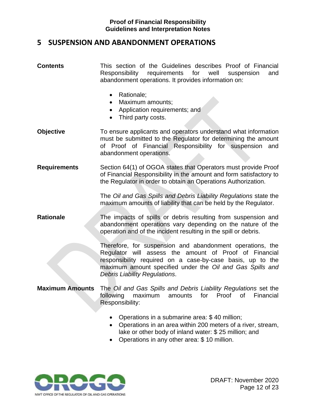# **5 SUSPENSION AND ABANDONMENT OPERATIONS**

- **Contents** This section of the Guidelines describes Proof of Financial Responsibility requirements for well suspension and abandonment operations. It provides information on:
	- Rationale;
	- Maximum amounts;
	- Application requirements; and
	- Third party costs.
- **Objective** To ensure applicants and operators understand what information must be submitted to the Regulator for determining the amount of Proof of Financial Responsibility for suspension and abandonment operations.
- **Requirements** Section 64(1) of OGOA states that Operators must provide Proof of Financial Responsibility in the amount and form satisfactory to the Regulator in order to obtain an Operations Authorization.

The *Oil and Gas Spills and Debris Liability Regulations* state the maximum amounts of liability that can be held by the Regulator.

#### **Rationale** The impacts of spills or debris resulting from suspension and abandonment operations vary depending on the nature of the operation and of the incident resulting in the spill or debris.

Therefore, for suspension and abandonment operations, the Regulator will assess the amount of Proof of Financial responsibility required on a case-by-case basis, up to the maximum amount specified under the *Oil and Gas Spills and Debris Liability Regulations*.

- **Maximum Amounts** The *Oil and Gas Spills and Debris Liability Regulations* set the following maximum amounts for Proof of Financial Responsibility:
	- Operations in a submarine area: \$ 40 million;
	- Operations in an area within 200 meters of a river, stream, lake or other body of inland water: \$ 25 million; and
	- Operations in any other area: \$ 10 million.

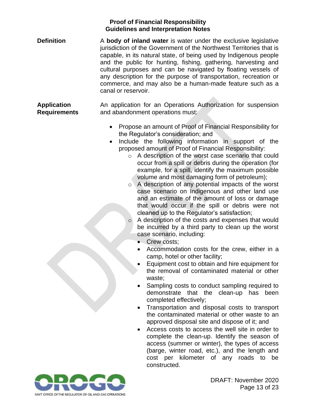**Definition** A **body of inland water** is water under the exclusive legislative jurisdiction of the Government of the Northwest Territories that is capable, in its natural state, of being used by Indigenous people and the public for hunting, fishing, gathering, harvesting and cultural purposes and can be navigated by floating vessels of any description for the purpose of transportation, recreation or commerce, and may also be a human-made feature such as a canal or reservoir.

**Application Requirements** An application for an Operations Authorization for suspension and abandonment operations must:

- Propose an amount of Proof of Financial Responsibility for the Regulator's consideration; and
- Include the following information in support of the proposed amount of Proof of Financial Responsibility:
	- o A description of the worst case scenario that could occur from a spill or debris during the operation (for example, for a spill, identify the maximum possible volume and most damaging form of petroleum);
	- o A description of any potential impacts of the worst case scenario on Indigenous and other land use and an estimate of the amount of loss or damage that would occur if the spill or debris were not cleaned up to the Regulator's satisfaction;
	- o A description of the costs and expenses that would be incurred by a third party to clean up the worst case scenario, including:
		- Crew costs;
		- Accommodation costs for the crew, either in a camp, hotel or other facility;
		- Equipment cost to obtain and hire equipment for the removal of contaminated material or other waste;
		- Sampling costs to conduct sampling required to demonstrate that the clean-up has been completed effectively;
		- Transportation and disposal costs to transport the contaminated material or other waste to an approved disposal site and dispose of it; and
		- Access costs to access the well site in order to complete the clean-up. Identify the season of access (summer or winter), the types of access (barge, winter road, etc.), and the length and cost per kilometer of any roads to be constructed.

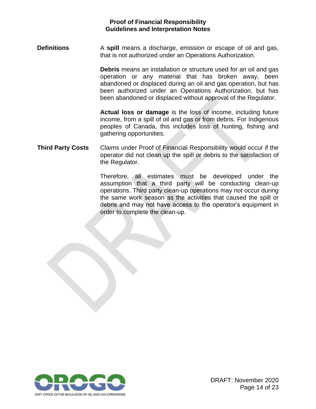**Definitions** A **spill** means a discharge, emission or escape of oil and gas, that is not authorized under an Operations Authorization.

> **Debris** means an installation or structure used for an oil and gas operation or any material that has broken away, been abandoned or displaced during an oil and gas operation, but has been authorized under an Operations Authorization, but has been abandoned or displaced without approval of the Regulator.

> **Actual loss or damage** is the loss of income, including future income, from a spill of oil and gas or from debris. For Indigenous peoples of Canada, this includes loss of hunting, fishing and gathering opportunities.

#### **Third Party Costs** Claims under Proof of Financial Responsibility would occur if the operator did not clean up the spill or debris to the satisfaction of the Regulator.

Therefore, all estimates must be developed under the assumption that a third party will be conducting clean-up operations. Third party clean-up operations may not occur during the same work season as the activities that caused the spill or debris and may not have access to the operator's equipment in order to complete the clean-up.

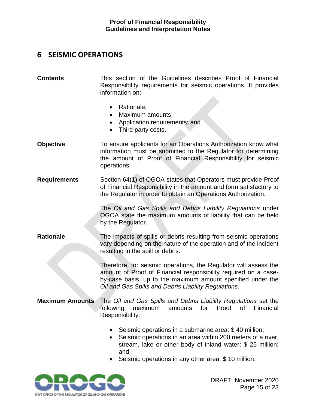# <span id="page-16-0"></span>**6 SEISMIC OPERATIONS**

#### **Contents** This section of the Guidelines describes Proof of Financial Responsibility requirements for seismic operations. It provides information on:

- Rationale;
- Maximum amounts;
- Application requirements; and
- Third party costs.
- **Objective To ensure applicants for an Operations Authorization know what** information must be submitted to the Regulator for determining the amount of Proof of Financial Responsibility for seismic operations.
- **Requirements** Section 64(1) of OGOA states that Operators must provide Proof of Financial Responsibility in the amount and form satisfactory to the Regulator in order to obtain an Operations Authorization.

The *Oil and Gas Spills and Debris Liability Regulations* under OGOA state the maximum amounts of liability that can be held by the Regulator.

#### **Rationale** The impacts of spills or debris resulting from seismic operations vary depending on the nature of the operation and of the incident resulting in the spill or debris.

Therefore, for seismic operations, the Regulator will assess the amount of Proof of Financial responsibility required on a caseby-case basis, up to the maximum amount specified under the *Oil and Gas Spills and Debris Liability Regulations*.

#### **Maximum Amounts** The *Oil and Gas Spills and Debris Liability Regulations* set the following maximum amounts for Proof of Financial Responsibility:

- Seismic operations in a submarine area: \$ 40 million;
- Seismic operations in an area within 200 meters of a river, stream, lake or other body of inland water: \$ 25 million; and
- Seismic operations in any other area: \$ 10 million.

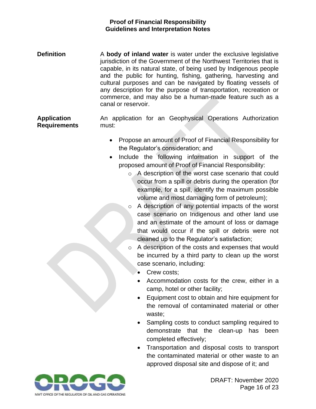**Definition** A **body of inland water** is water under the exclusive legislative jurisdiction of the Government of the Northwest Territories that is capable, in its natural state, of being used by Indigenous people and the public for hunting, fishing, gathering, harvesting and cultural purposes and can be navigated by floating vessels of any description for the purpose of transportation, recreation or commerce, and may also be a human-made feature such as a canal or reservoir.

**Application Requirements** An application for an Geophysical Operations Authorization must:

- Propose an amount of Proof of Financial Responsibility for the Regulator's consideration; and
- Include the following information in support of the proposed amount of Proof of Financial Responsibility:
	- o A description of the worst case scenario that could occur from a spill or debris during the operation (for example, for a spill, identify the maximum possible volume and most damaging form of petroleum);
	- o A description of any potential impacts of the worst case scenario on Indigenous and other land use and an estimate of the amount of loss or damage that would occur if the spill or debris were not cleaned up to the Regulator's satisfaction;
	- o A description of the costs and expenses that would be incurred by a third party to clean up the worst case scenario, including:
		- Crew costs:
		- Accommodation costs for the crew, either in a camp, hotel or other facility;
		- Equipment cost to obtain and hire equipment for the removal of contaminated material or other waste;
		- Sampling costs to conduct sampling required to demonstrate that the clean-up has been completed effectively;
		- Transportation and disposal costs to transport the contaminated material or other waste to an approved disposal site and dispose of it; and

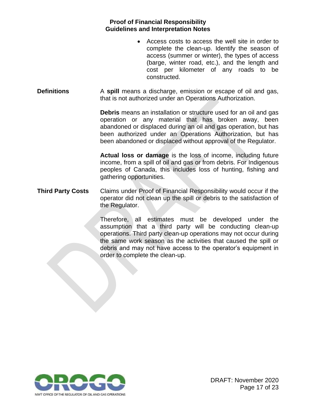- Access costs to access the well site in order to complete the clean-up. Identify the season of access (summer or winter), the types of access (barge, winter road, etc.), and the length and cost per kilometer of any roads to be constructed.
- **Definitions** A **spill** means a discharge, emission or escape of oil and gas, that is not authorized under an Operations Authorization.

**Debris** means an installation or structure used for an oil and gas operation or any material that has broken away, been abandoned or displaced during an oil and gas operation, but has been authorized under an Operations Authorization, but has been abandoned or displaced without approval of the Regulator.

**Actual loss or damage** is the loss of income, including future income, from a spill of oil and gas or from debris. For Indigenous peoples of Canada, this includes loss of hunting, fishing and gathering opportunities.

<span id="page-18-0"></span>**Third Party Costs** Claims under Proof of Financial Responsibility would occur if the operator did not clean up the spill or debris to the satisfaction of the Regulator.

> Therefore, all estimates must be developed under the assumption that a third party will be conducting clean-up operations. Third party clean-up operations may not occur during the same work season as the activities that caused the spill or debris and may not have access to the operator's equipment in order to complete the clean-up.

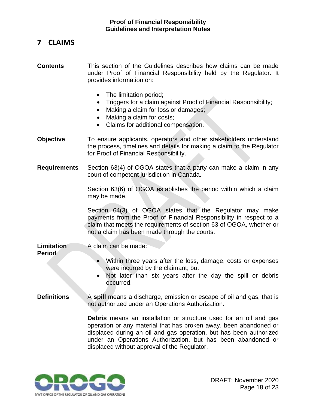# **7 CLAIMS**

**Contents** This section of the Guidelines describes how claims can be made under Proof of Financial Responsibility held by the Regulator. It provides information on:

- The limitation period;
- Triggers for a claim against Proof of Financial Responsibility;
- Making a claim for loss or damages;
- Making a claim for costs;
- Claims for additional compensation.
- **Objective** To ensure applicants, operators and other stakeholders understand the process, timelines and details for making a claim to the Regulator for Proof of Financial Responsibility.
- **Requirements** Section 63(4) of OGOA states that a party can make a claim in any court of competent jurisdiction in Canada.

Section 63(6) of OGOA establishes the period within which a claim may be made.

Section 64(3) of OGOA states that the Regulator may make payments from the Proof of Financial Responsibility in respect to a claim that meets the requirements of section 63 of OGOA, whether or not a claim has been made through the courts.

**Limitation Period** A claim can be made:

- Within three years after the loss, damage, costs or expenses were incurred by the claimant; but
- Not later than six years after the day the spill or debris occurred.
- **Definitions** A spill means a discharge, emission or escape of oil and gas, that is not authorized under an Operations Authorization.

**Debris** means an installation or structure used for an oil and gas operation or any material that has broken away, been abandoned or displaced during an oil and gas operation, but has been authorized under an Operations Authorization, but has been abandoned or displaced without approval of the Regulator.

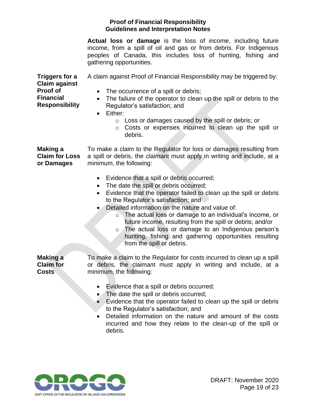**Actual loss or damage** is the loss of income, including future income, from a spill of oil and gas or from debris. For Indigenous peoples of Canada, this includes loss of hunting, fishing and gathering opportunities.

**Triggers for a Claim against Proof of Financial Responsibility** A claim against Proof of Financial Responsibility may be triggered by: • The occurrence of a spill or debris; • The failure of the operator to clean up the spill or debris to the Regulator's satisfaction; and • Either: o Loss or damages caused by the spill or debris; or o Costs or expenses incurred to clean up the spill or debris. **Making a Claim for Loss or Damages** To make a claim to the Regulator for loss or damages resulting from a spill or debris, the claimant must apply in writing and include, at a minimum, the following: • Evidence that a spill or debris occurred; • The date the spill or debris occurred; • Evidence that the operator failed to clean up the spill or debris to the Regulator's satisfaction; and • Detailed information on the nature and value of: o The actual loss or damage to an individual's income, or future income, resulting from the spill or debris; and/or o The actual loss or damage to an Indigenous person's

hunting, fishing and gathering opportunities resulting from the spill or debris.

**Making a Claim for Costs**

To make a claim to the Regulator for costs incurred to clean up a spill or debris, the claimant must apply in writing and include, at a minimum, the following:

- Evidence that a spill or debris occurred;
- The date the spill or debris occurred;
- Evidence that the operator failed to clean up the spill or debris to the Regulator's satisfaction; and
- Detailed information on the nature and amount of the costs incurred and how they relate to the clean-up of the spill or debris.

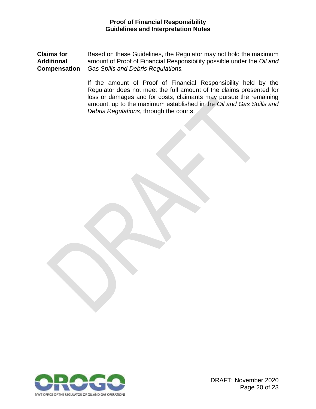**Claims for Additional Compensation** Based on these Guidelines, the Regulator may not hold the maximum amount of Proof of Financial Responsibility possible under the *Oil and Gas Spills and Debris Regulations.*

> <span id="page-21-0"></span>If the amount of Proof of Financial Responsibility held by the Regulator does not meet the full amount of the claims presented for loss or damages and for costs, claimants may pursue the remaining amount, up to the maximum established in the *Oil and Gas Spills and Debris Regulations*, through the courts.

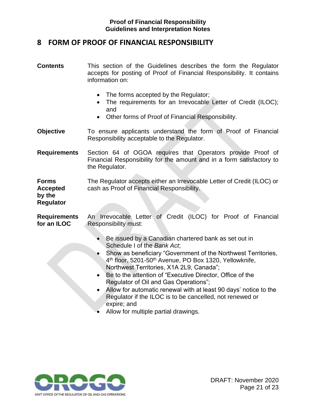# **8 FORM OF PROOF OF FINANCIAL RESPONSIBILITY**

- **Contents** This section of the Guidelines describes the form the Regulator accepts for posting of Proof of Financial Responsibility. It contains information on:
	- The forms accepted by the Regulator;
	- The requirements for an Irrevocable Letter of Credit (ILOC); and
	- Other forms of Proof of Financial Responsibility.
- **Objective** To ensure applicants understand the form of Proof of Financial Responsibility acceptable to the Regulator.
- **Requirements** Section 64 of OGOA requires that Operators provide Proof of Financial Responsibility for the amount and in a form satisfactory to the Regulator.
- **Forms Accepted**  The Regulator accepts either an Irrevocable Letter of Credit (ILOC) or cash as Proof of Financial Responsibility.

# **by the Regulator**

**Requirements for an ILOC** An Irrevocable Letter of Credit (ILOC) for Proof of Financial Responsibility must:

- Be issued by a Canadian chartered bank as set out in Schedule I of the *Bank Act*;
- Show as beneficiary "Government of the Northwest Territories, 4<sup>th</sup> floor, 5201-50<sup>th</sup> Avenue, PO Box 1320, Yellowknife, Northwest Territories, X1A 2L9, Canada";
- Be to the attention of "Executive Director, Office of the Regulator of Oil and Gas Operations";
- Allow for automatic renewal with at least 90 days' notice to the Regulator if the ILOC is to be cancelled, not renewed or expire; and
- Allow for multiple partial drawings.

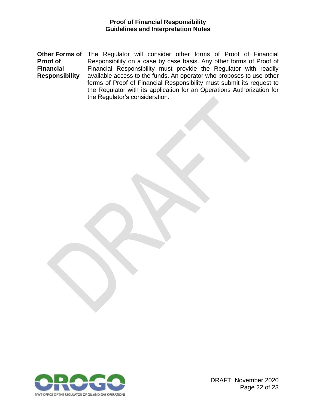<span id="page-23-0"></span>**Other Forms of** The Regulator will consider other forms of Proof of Financial **Proof of Financial Responsibility** Responsibility on a case by case basis. Any other forms of Proof of Financial Responsibility must provide the Regulator with readily available access to the funds. An operator who proposes to use other forms of Proof of Financial Responsibility must submit its request to the Regulator with its application for an Operations Authorization for the Regulator's consideration.



DRAFT: November 2020 Page 22 of 23